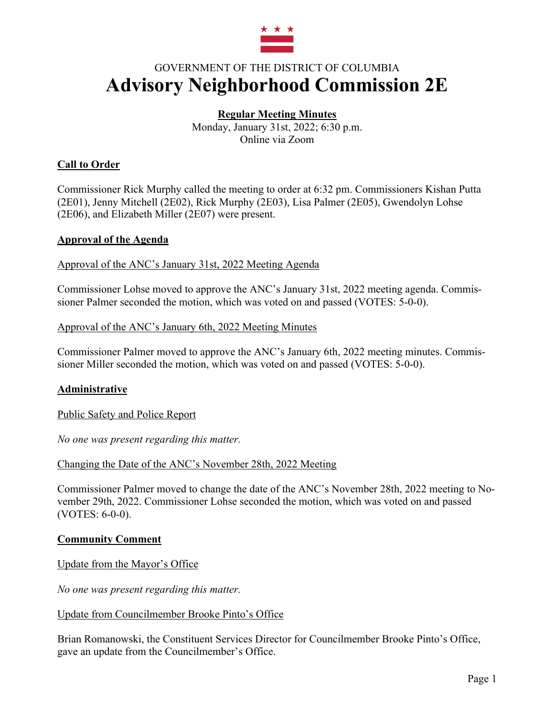

# GOVERNMENT OF THE DISTRICT OF COLUMBIA **Advisory Neighborhood Commission 2E**

### **Regular Meeting Minutes**

Monday, January 31st, 2022; 6:30 p.m. Online via Zoom

### **Call to Order**

Commissioner Rick Murphy called the meeting to order at 6:32 pm. Commissioners Kishan Putta (2E01), Jenny Mitchell (2E02), Rick Murphy (2E03), Lisa Palmer (2E05), Gwendolyn Lohse (2E06), and Elizabeth Miller (2E07) were present.

#### **Approval of the Agenda**

Approval of the ANC's January 31st, 2022 Meeting Agenda

Commissioner Lohse moved to approve the ANC's January 31st, 2022 meeting agenda. Commissioner Palmer seconded the motion, which was voted on and passed (VOTES: 5-0-0).

#### Approval of the ANC's January 6th, 2022 Meeting Minutes

Commissioner Palmer moved to approve the ANC's January 6th, 2022 meeting minutes. Commissioner Miller seconded the motion, which was voted on and passed (VOTES: 5-0-0).

### **Administrative**

Public Safety and Police Report

*No one was present regarding this matter.*

#### Changing the Date of the ANC's November 28th, 2022 Meeting

Commissioner Palmer moved to change the date of the ANC's November 28th, 2022 meeting to November 29th, 2022. Commissioner Lohse seconded the motion, which was voted on and passed (VOTES: 6-0-0).

#### **Community Comment**

Update from the Mayor's Office

*No one was present regarding this matter.*

#### Update from Councilmember Brooke Pinto's Office

Brian Romanowski, the Constituent Services Director for Councilmember Brooke Pinto's Office, gave an update from the Councilmember's Office.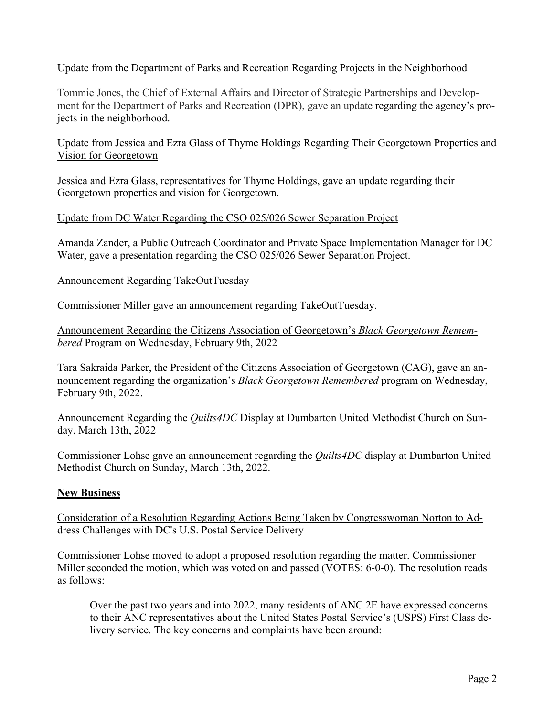### Update from the Department of Parks and Recreation Regarding Projects in the Neighborhood

Tommie Jones, the Chief of External Affairs and Director of Strategic Partnerships and Development for the Department of Parks and Recreation (DPR), gave an update regarding the agency's projects in the neighborhood.

Update from Jessica and Ezra Glass of Thyme Holdings Regarding Their Georgetown Properties and Vision for Georgetown

Jessica and Ezra Glass, representatives for Thyme Holdings, gave an update regarding their Georgetown properties and vision for Georgetown.

#### Update from DC Water Regarding the CSO 025/026 Sewer Separation Project

Amanda Zander, a Public Outreach Coordinator and Private Space Implementation Manager for DC Water, gave a presentation regarding the CSO 025/026 Sewer Separation Project.

#### Announcement Regarding TakeOutTuesday

Commissioner Miller gave an announcement regarding TakeOutTuesday.

Announcement Regarding the Citizens Association of Georgetown's *Black Georgetown Remembered* Program on Wednesday, February 9th, 2022

Tara Sakraida Parker, the President of the Citizens Association of Georgetown (CAG), gave an announcement regarding the organization's *Black Georgetown Remembered* program on Wednesday, February 9th, 2022.

Announcement Regarding the *Quilts4DC* Display at Dumbarton United Methodist Church on Sunday, March 13th, 2022

Commissioner Lohse gave an announcement regarding the *Quilts4DC* display at Dumbarton United Methodist Church on Sunday, March 13th, 2022.

### **New Business**

Consideration of a Resolution Regarding Actions Being Taken by Congresswoman Norton to Address Challenges with DC's U.S. Postal Service Delivery

Commissioner Lohse moved to adopt a proposed resolution regarding the matter. Commissioner Miller seconded the motion, which was voted on and passed (VOTES: 6-0-0). The resolution reads as follows:

Over the past two years and into 2022, many residents of ANC 2E have expressed concerns to their ANC representatives about the United States Postal Service's (USPS) First Class delivery service. The key concerns and complaints have been around: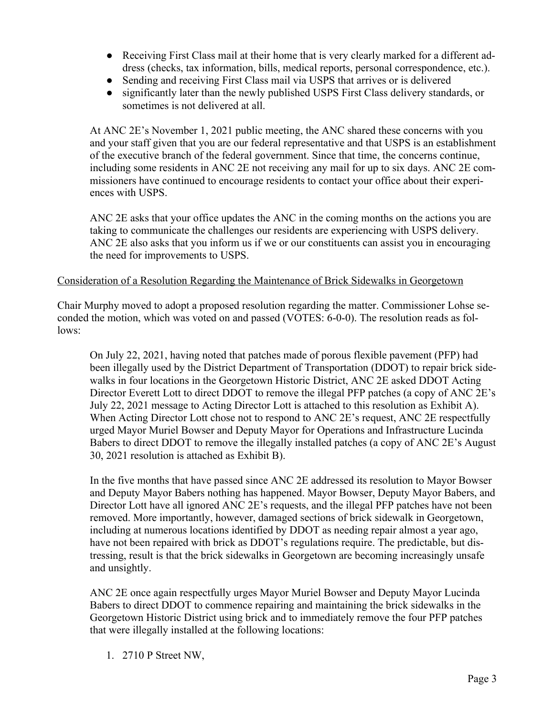- Receiving First Class mail at their home that is very clearly marked for a different address (checks, tax information, bills, medical reports, personal correspondence, etc.).
- Sending and receiving First Class mail via USPS that arrives or is delivered
- significantly later than the newly published USPS First Class delivery standards, or sometimes is not delivered at all.

At ANC 2E's November 1, 2021 public meeting, the ANC shared these concerns with you and your staff given that you are our federal representative and that USPS is an establishment of the executive branch of the federal government. Since that time, the concerns continue, including some residents in ANC 2E not receiving any mail for up to six days. ANC 2E commissioners have continued to encourage residents to contact your office about their experiences with USPS.

ANC 2E asks that your office updates the ANC in the coming months on the actions you are taking to communicate the challenges our residents are experiencing with USPS delivery. ANC 2E also asks that you inform us if we or our constituents can assist you in encouraging the need for improvements to USPS.

#### Consideration of a Resolution Regarding the Maintenance of Brick Sidewalks in Georgetown

Chair Murphy moved to adopt a proposed resolution regarding the matter. Commissioner Lohse seconded the motion, which was voted on and passed (VOTES: 6-0-0). The resolution reads as follows:

On July 22, 2021, having noted that patches made of porous flexible pavement (PFP) had been illegally used by the District Department of Transportation (DDOT) to repair brick sidewalks in four locations in the Georgetown Historic District, ANC 2E asked DDOT Acting Director Everett Lott to direct DDOT to remove the illegal PFP patches (a copy of ANC 2E's July 22, 2021 message to Acting Director Lott is attached to this resolution as Exhibit A). When Acting Director Lott chose not to respond to ANC 2E's request, ANC 2E respectfully urged Mayor Muriel Bowser and Deputy Mayor for Operations and Infrastructure Lucinda Babers to direct DDOT to remove the illegally installed patches (a copy of ANC 2E's August 30, 2021 resolution is attached as Exhibit B).

In the five months that have passed since ANC 2E addressed its resolution to Mayor Bowser and Deputy Mayor Babers nothing has happened. Mayor Bowser, Deputy Mayor Babers, and Director Lott have all ignored ANC 2E's requests, and the illegal PFP patches have not been removed. More importantly, however, damaged sections of brick sidewalk in Georgetown, including at numerous locations identified by DDOT as needing repair almost a year ago, have not been repaired with brick as DDOT's regulations require. The predictable, but distressing, result is that the brick sidewalks in Georgetown are becoming increasingly unsafe and unsightly.

ANC 2E once again respectfully urges Mayor Muriel Bowser and Deputy Mayor Lucinda Babers to direct DDOT to commence repairing and maintaining the brick sidewalks in the Georgetown Historic District using brick and to immediately remove the four PFP patches that were illegally installed at the following locations:

1. 2710 P Street NW,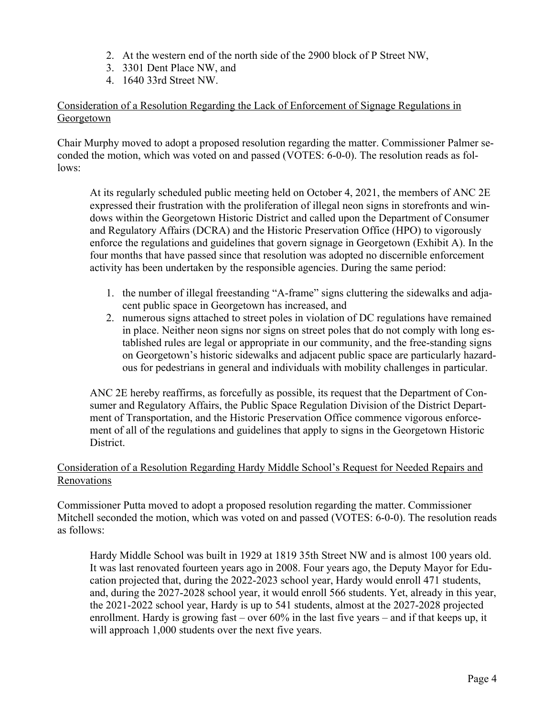- 2. At the western end of the north side of the 2900 block of P Street NW,
- 3. 3301 Dent Place NW, and
- 4. 1640 33rd Street NW.

### Consideration of a Resolution Regarding the Lack of Enforcement of Signage Regulations in **Georgetown**

Chair Murphy moved to adopt a proposed resolution regarding the matter. Commissioner Palmer seconded the motion, which was voted on and passed (VOTES: 6-0-0). The resolution reads as follows:

At its regularly scheduled public meeting held on October 4, 2021, the members of ANC 2E expressed their frustration with the proliferation of illegal neon signs in storefronts and windows within the Georgetown Historic District and called upon the Department of Consumer and Regulatory Affairs (DCRA) and the Historic Preservation Office (HPO) to vigorously enforce the regulations and guidelines that govern signage in Georgetown (Exhibit A). In the four months that have passed since that resolution was adopted no discernible enforcement activity has been undertaken by the responsible agencies. During the same period:

- 1. the number of illegal freestanding "A-frame" signs cluttering the sidewalks and adjacent public space in Georgetown has increased, and
- 2. numerous signs attached to street poles in violation of DC regulations have remained in place. Neither neon signs nor signs on street poles that do not comply with long established rules are legal or appropriate in our community, and the free-standing signs on Georgetown's historic sidewalks and adjacent public space are particularly hazardous for pedestrians in general and individuals with mobility challenges in particular.

ANC 2E hereby reaffirms, as forcefully as possible, its request that the Department of Consumer and Regulatory Affairs, the Public Space Regulation Division of the District Department of Transportation, and the Historic Preservation Office commence vigorous enforcement of all of the regulations and guidelines that apply to signs in the Georgetown Historic District.

### Consideration of a Resolution Regarding Hardy Middle School's Request for Needed Repairs and Renovations

Commissioner Putta moved to adopt a proposed resolution regarding the matter. Commissioner Mitchell seconded the motion, which was voted on and passed (VOTES: 6-0-0). The resolution reads as follows:

Hardy Middle School was built in 1929 at 1819 35th Street NW and is almost 100 years old. It was last renovated fourteen years ago in 2008. Four years ago, the Deputy Mayor for Education projected that, during the 2022-2023 school year, Hardy would enroll 471 students, and, during the 2027-2028 school year, it would enroll 566 students. Yet, already in this year, the 2021-2022 school year, Hardy is up to 541 students, almost at the 2027-2028 projected enrollment. Hardy is growing fast – over 60% in the last five years – and if that keeps up, it will approach 1,000 students over the next five years.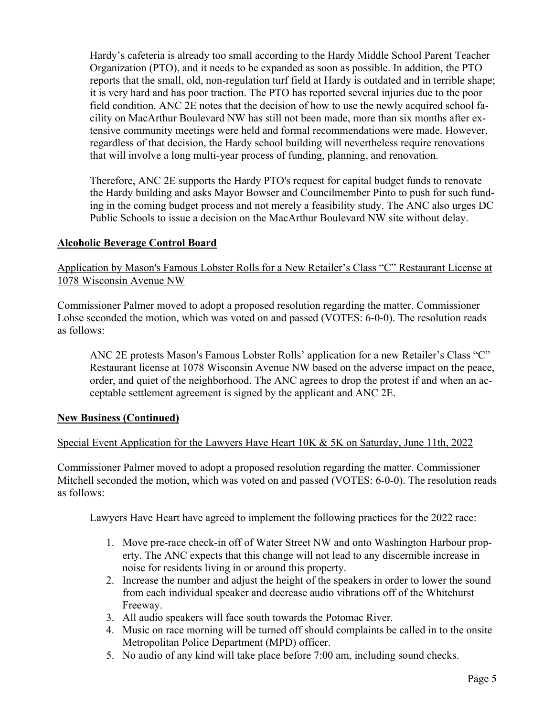Hardy's cafeteria is already too small according to the Hardy Middle School Parent Teacher Organization (PTO), and it needs to be expanded as soon as possible. In addition, the PTO reports that the small, old, non-regulation turf field at Hardy is outdated and in terrible shape; it is very hard and has poor traction. The PTO has reported several injuries due to the poor field condition. ANC 2E notes that the decision of how to use the newly acquired school facility on MacArthur Boulevard NW has still not been made, more than six months after extensive community meetings were held and formal recommendations were made. However, regardless of that decision, the Hardy school building will nevertheless require renovations that will involve a long multi-year process of funding, planning, and renovation.

Therefore, ANC 2E supports the Hardy PTO's request for capital budget funds to renovate the Hardy building and asks Mayor Bowser and Councilmember Pinto to push for such funding in the coming budget process and not merely a feasibility study. The ANC also urges DC Public Schools to issue a decision on the MacArthur Boulevard NW site without delay.

#### **Alcoholic Beverage Control Board**

Application by Mason's Famous Lobster Rolls for a New Retailer's Class "C" Restaurant License at 1078 Wisconsin Avenue NW

Commissioner Palmer moved to adopt a proposed resolution regarding the matter. Commissioner Lohse seconded the motion, which was voted on and passed (VOTES: 6-0-0). The resolution reads as follows:

ANC 2E protests Mason's Famous Lobster Rolls' application for a new Retailer's Class "C" Restaurant license at 1078 Wisconsin Avenue NW based on the adverse impact on the peace, order, and quiet of the neighborhood. The ANC agrees to drop the protest if and when an acceptable settlement agreement is signed by the applicant and ANC 2E.

#### **New Business (Continued)**

### Special Event Application for the Lawyers Have Heart 10K & 5K on Saturday, June 11th, 2022

Commissioner Palmer moved to adopt a proposed resolution regarding the matter. Commissioner Mitchell seconded the motion, which was voted on and passed (VOTES: 6-0-0). The resolution reads as follows:

Lawyers Have Heart have agreed to implement the following practices for the 2022 race:

- 1. Move pre-race check-in off of Water Street NW and onto Washington Harbour property. The ANC expects that this change will not lead to any discernible increase in noise for residents living in or around this property.
- 2. Increase the number and adjust the height of the speakers in order to lower the sound from each individual speaker and decrease audio vibrations off of the Whitehurst Freeway.
- 3. All audio speakers will face south towards the Potomac River.
- 4. Music on race morning will be turned off should complaints be called in to the onsite Metropolitan Police Department (MPD) officer.
- 5. No audio of any kind will take place before 7:00 am, including sound checks.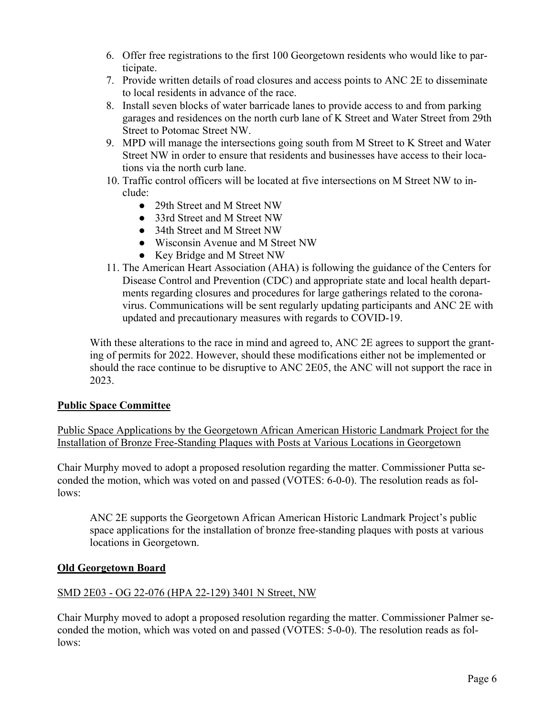- 6. Offer free registrations to the first 100 Georgetown residents who would like to participate.
- 7. Provide written details of road closures and access points to ANC 2E to disseminate to local residents in advance of the race.
- 8. Install seven blocks of water barricade lanes to provide access to and from parking garages and residences on the north curb lane of K Street and Water Street from 29th Street to Potomac Street NW.
- 9. MPD will manage the intersections going south from M Street to K Street and Water Street NW in order to ensure that residents and businesses have access to their locations via the north curb lane.
- 10. Traffic control officers will be located at five intersections on M Street NW to include:
	- 29th Street and M Street NW
	- 33rd Street and M Street NW
	- 34th Street and M Street NW
	- Wisconsin Avenue and M Street NW
	- Key Bridge and M Street NW
- 11. The American Heart Association (AHA) is following the guidance of the Centers for Disease Control and Prevention (CDC) and appropriate state and local health departments regarding closures and procedures for large gatherings related to the coronavirus. Communications will be sent regularly updating participants and ANC 2E with updated and precautionary measures with regards to COVID-19.

With these alterations to the race in mind and agreed to, ANC 2E agrees to support the granting of permits for 2022. However, should these modifications either not be implemented or should the race continue to be disruptive to ANC 2E05, the ANC will not support the race in 2023.

### **Public Space Committee**

Public Space Applications by the Georgetown African American Historic Landmark Project for the Installation of Bronze Free-Standing Plaques with Posts at Various Locations in Georgetown

Chair Murphy moved to adopt a proposed resolution regarding the matter. Commissioner Putta seconded the motion, which was voted on and passed (VOTES: 6-0-0). The resolution reads as follows:

ANC 2E supports the Georgetown African American Historic Landmark Project's public space applications for the installation of bronze free-standing plaques with posts at various locations in Georgetown.

### **Old Georgetown Board**

### SMD 2E03 - OG 22-076 (HPA 22-129) 3401 N Street, NW

Chair Murphy moved to adopt a proposed resolution regarding the matter. Commissioner Palmer seconded the motion, which was voted on and passed (VOTES: 5-0-0). The resolution reads as follows: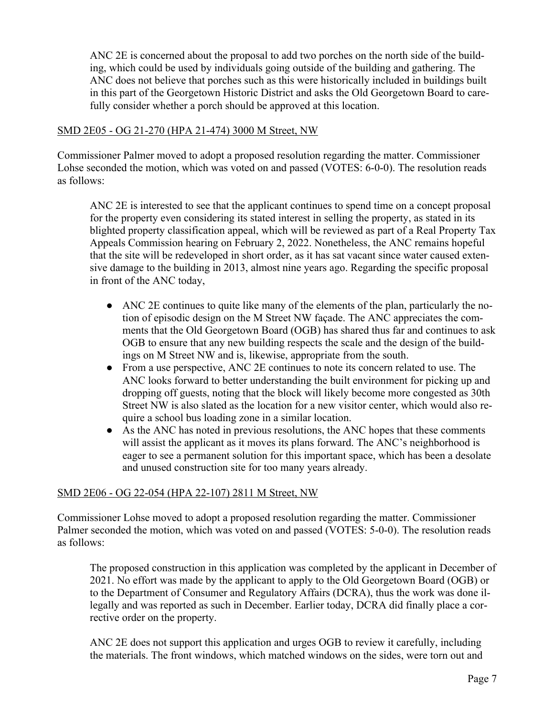ANC 2E is concerned about the proposal to add two porches on the north side of the building, which could be used by individuals going outside of the building and gathering. The ANC does not believe that porches such as this were historically included in buildings built in this part of the Georgetown Historic District and asks the Old Georgetown Board to carefully consider whether a porch should be approved at this location.

#### SMD 2E05 - OG 21-270 (HPA 21-474) 3000 M Street, NW

Commissioner Palmer moved to adopt a proposed resolution regarding the matter. Commissioner Lohse seconded the motion, which was voted on and passed (VOTES: 6-0-0). The resolution reads as follows:

ANC 2E is interested to see that the applicant continues to spend time on a concept proposal for the property even considering its stated interest in selling the property, as stated in its blighted property classification appeal, which will be reviewed as part of a Real Property Tax Appeals Commission hearing on February 2, 2022. Nonetheless, the ANC remains hopeful that the site will be redeveloped in short order, as it has sat vacant since water caused extensive damage to the building in 2013, almost nine years ago. Regarding the specific proposal in front of the ANC today,

- ANC 2E continues to quite like many of the elements of the plan, particularly the notion of episodic design on the M Street NW façade. The ANC appreciates the comments that the Old Georgetown Board (OGB) has shared thus far and continues to ask OGB to ensure that any new building respects the scale and the design of the buildings on M Street NW and is, likewise, appropriate from the south.
- From a use perspective, ANC 2E continues to note its concern related to use. The ANC looks forward to better understanding the built environment for picking up and dropping off guests, noting that the block will likely become more congested as 30th Street NW is also slated as the location for a new visitor center, which would also require a school bus loading zone in a similar location.
- As the ANC has noted in previous resolutions, the ANC hopes that these comments will assist the applicant as it moves its plans forward. The ANC's neighborhood is eager to see a permanent solution for this important space, which has been a desolate and unused construction site for too many years already.

### SMD 2E06 - OG 22-054 (HPA 22-107) 2811 M Street, NW

Commissioner Lohse moved to adopt a proposed resolution regarding the matter. Commissioner Palmer seconded the motion, which was voted on and passed (VOTES: 5-0-0). The resolution reads as follows:

The proposed construction in this application was completed by the applicant in December of 2021. No effort was made by the applicant to apply to the Old Georgetown Board (OGB) or to the Department of Consumer and Regulatory Affairs (DCRA), thus the work was done illegally and was reported as such in December. Earlier today, DCRA did finally place a corrective order on the property.

ANC 2E does not support this application and urges OGB to review it carefully, including the materials. The front windows, which matched windows on the sides, were torn out and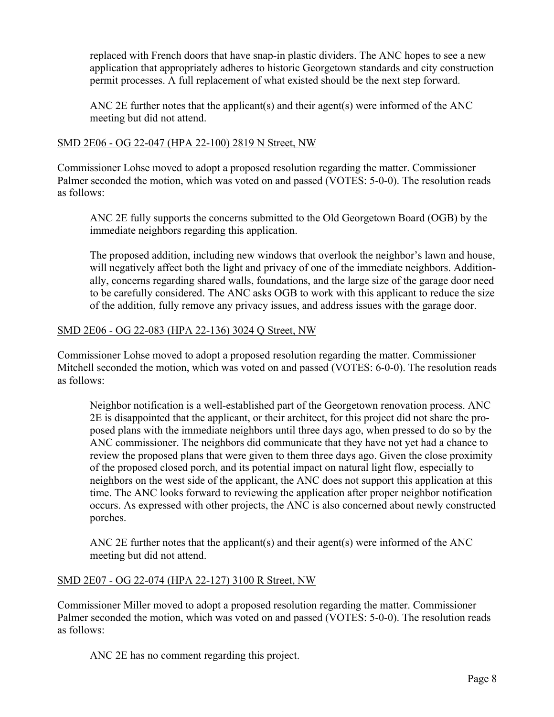replaced with French doors that have snap-in plastic dividers. The ANC hopes to see a new application that appropriately adheres to historic Georgetown standards and city construction permit processes. A full replacement of what existed should be the next step forward.

ANC 2E further notes that the applicant(s) and their agent(s) were informed of the ANC meeting but did not attend.

#### SMD 2E06 - OG 22-047 (HPA 22-100) 2819 N Street, NW

Commissioner Lohse moved to adopt a proposed resolution regarding the matter. Commissioner Palmer seconded the motion, which was voted on and passed (VOTES: 5-0-0). The resolution reads as follows:

ANC 2E fully supports the concerns submitted to the Old Georgetown Board (OGB) by the immediate neighbors regarding this application.

The proposed addition, including new windows that overlook the neighbor's lawn and house, will negatively affect both the light and privacy of one of the immediate neighbors. Additionally, concerns regarding shared walls, foundations, and the large size of the garage door need to be carefully considered. The ANC asks OGB to work with this applicant to reduce the size of the addition, fully remove any privacy issues, and address issues with the garage door.

#### SMD 2E06 - OG 22-083 (HPA 22-136) 3024 Q Street, NW

Commissioner Lohse moved to adopt a proposed resolution regarding the matter. Commissioner Mitchell seconded the motion, which was voted on and passed (VOTES: 6-0-0). The resolution reads as follows:

Neighbor notification is a well-established part of the Georgetown renovation process. ANC 2E is disappointed that the applicant, or their architect, for this project did not share the proposed plans with the immediate neighbors until three days ago, when pressed to do so by the ANC commissioner. The neighbors did communicate that they have not yet had a chance to review the proposed plans that were given to them three days ago. Given the close proximity of the proposed closed porch, and its potential impact on natural light flow, especially to neighbors on the west side of the applicant, the ANC does not support this application at this time. The ANC looks forward to reviewing the application after proper neighbor notification occurs. As expressed with other projects, the ANC is also concerned about newly constructed porches.

ANC 2E further notes that the applicant(s) and their agent(s) were informed of the ANC meeting but did not attend.

### SMD 2E07 - OG 22-074 (HPA 22-127) 3100 R Street, NW

Commissioner Miller moved to adopt a proposed resolution regarding the matter. Commissioner Palmer seconded the motion, which was voted on and passed (VOTES: 5-0-0). The resolution reads as follows:

ANC 2E has no comment regarding this project.